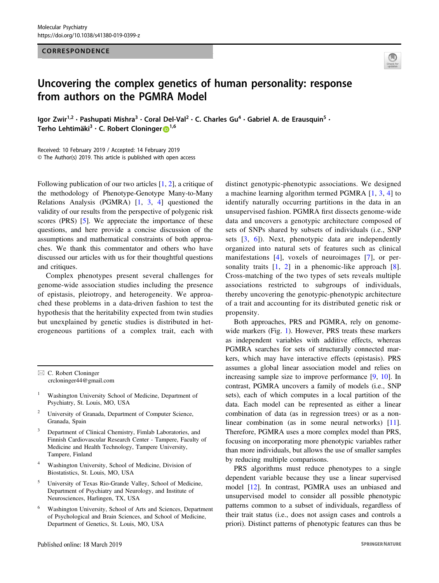## CORRESPONDENCE



## Uncovering the complex genetics of human personality: response from authors on the PGMRA Model

Igor Zwir<sup>1,2</sup> • Pashupati Mishra<sup>3</sup> • Coral Del-Val<sup>2</sup> • C. Charles Gu<sup>4</sup> • Gabriel A. de Erausquin<sup>5</sup> • Terho Lehtimäki<sup>3</sup> · C. Robert Cloninger D<sup>[1](http://orcid.org/0000-0003-3096-4807),6</sup>

Received: 10 February 2019 / Accepted: 14 February 2019 © The Author(s) 2019. This article is published with open access

Following publication of our two articles [[1,](#page-2-0) [2\]](#page-2-0), a critique of the methodology of Phenotype-Genotype Many-to-Many Relations Analysis (PGMRA) [\[1](#page-2-0), [3](#page-2-0), [4\]](#page-2-0) questioned the validity of our results from the perspective of polygenic risk scores (PRS) [\[5](#page-2-0)]. We appreciate the importance of these questions, and here provide a concise discussion of the assumptions and mathematical constraints of both approaches. We thank this commentator and others who have discussed our articles with us for their thoughtful questions and critiques.

Complex phenotypes present several challenges for genome-wide association studies including the presence of epistasis, pleiotropy, and heterogeneity. We approached these problems in a data-driven fashion to test the hypothesis that the heritability expected from twin studies but unexplained by genetic studies is distributed in heterogeneous partitions of a complex trait, each with

- <sup>1</sup> Washington University School of Medicine, Department of Psychiatry, St. Louis, MO, USA
- <sup>2</sup> University of Granada, Department of Computer Science, Granada, Spain
- Department of Clinical Chemistry, Fimlab Laboratories, and Finnish Cardiovascular Research Center - Tampere, Faculty of Medicine and Health Technology, Tampere University, Tampere, Finland
- <sup>4</sup> Washington University, School of Medicine, Division of Biostatistics, St. Louis, MO, USA
- <sup>5</sup> University of Texas Rio-Grande Valley, School of Medicine, Department of Psychiatry and Neurology, and Institute of Neurosciences, Harlingen, TX, USA
- <sup>6</sup> Washington University, School of Arts and Sciences, Department of Psychological and Brain Sciences, and School of Medicine, Department of Genetics, St. Louis, MO, USA

distinct genotypic-phenotypic associations. We designed a machine learning algorithm termed PGMRA [[1,](#page-2-0) [3](#page-2-0), [4](#page-2-0)] to identify naturally occurring partitions in the data in an unsupervised fashion. PGMRA first dissects genome-wide data and uncovers a genotypic architecture composed of sets of SNPs shared by subsets of individuals (i.e., SNP sets [[3,](#page-2-0) [6\]](#page-2-0)). Next, phenotypic data are independently organized into natural sets of features such as clinical manifestations [\[4\]](#page-2-0), voxels of neuroimages [[7\]](#page-2-0), or personality traits  $[1, 2]$  $[1, 2]$  $[1, 2]$  $[1, 2]$  $[1, 2]$  in a phenomic-like approach  $[8]$  $[8]$ . Cross-matching of the two types of sets reveals multiple associations restricted to subgroups of individuals, thereby uncovering the genotypic-phenotypic architecture of a trait and accounting for its distributed genetic risk or propensity.

Both approaches, PRS and PGMRA, rely on genomewide markers (Fig. [1](#page-1-0)). However, PRS treats these markers as independent variables with additive effects, whereas PGMRA searches for sets of structurally connected markers, which may have interactive effects (epistasis). PRS assumes a global linear association model and relies on increasing sample size to improve performance [[9,](#page-2-0) [10\]](#page-2-0). In contrast, PGMRA uncovers a family of models (i.e., SNP sets), each of which computes in a local partition of the data. Each model can be represented as either a linear combination of data (as in regression trees) or as a non-linear combination (as in some neural networks) [[11\]](#page-2-0). Therefore, PGMRA uses a more complex model than PRS, focusing on incorporating more phenotypic variables rather than more individuals, but allows the use of smaller samples by reducing multiple comparisons.

PRS algorithms must reduce phenotypes to a single dependent variable because they use a linear supervised model [\[12](#page-2-0)]. In contrast, PGMRA uses an unbiased and unsupervised model to consider all possible phenotypic patterns common to a subset of individuals, regardless of their trait status (i.e., does not assign cases and controls a priori). Distinct patterns of phenotypic features can thus be

 $\boxtimes$  C. Robert Cloninger [crcloninger44@gmail.com](mailto:crcloninger44@gmail.com)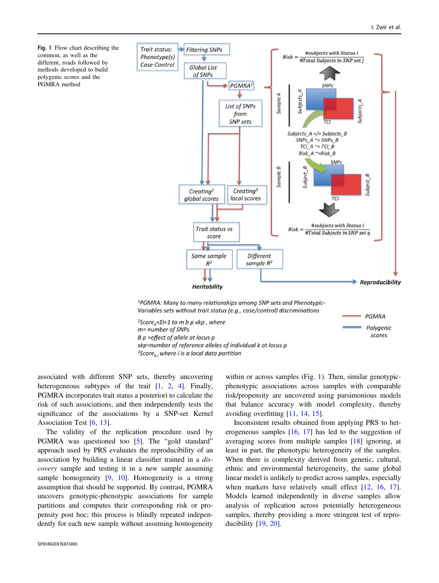PGMRA

Polygenic

scores

<span id="page-1-0"></span>

Variables sets without trait status (e.g., case/control) discriminations

<sup>2</sup>Score<sub>k</sub>= $\Sigma$ I=1 to m b p xkp, where m= number of SNPs B p = effect of allele at locus p xkp=number of reference alleles of individual k at locus p <sup>3</sup>Score<sub>ki</sub> where i is a local data partition

associated with different SNP sets, thereby uncovering heterogeneous subtypes of the trait  $[1, 2, 4]$  $[1, 2, 4]$  $[1, 2, 4]$  $[1, 2, 4]$  $[1, 2, 4]$  $[1, 2, 4]$ . Finally, PGMRA incorporates trait status a posteriori to calculate the risk of such associations, and then independently tests the significance of the associations by a SNP-set Kernel Association Test [\[6](#page-2-0), [13](#page-2-0)].

The validity of the replication procedure used by PGMRA was questioned too [[5\]](#page-2-0). The "gold standard" approach used by PRS evaluates the reproducibility of an association by building a linear classifier trained in a discovery sample and testing it in a new sample assuming sample homogeneity [\[9](#page-2-0), [10\]](#page-2-0). Homogeneity is a strong assumption that should be supported. By contrast, PGMRA uncovers genotypic-phenotypic associations for sample partitions and computes their corresponding risk or propensity post hoc; this process is blindly repeated independently for each new sample without assuming homogeneity

within or across samples (Fig. 1). Then, similar genotypicphenotypic associations across samples with comparable risk/propensity are uncovered using parsimonious models that balance accuracy with model complexity, thereby avoiding overfitting [[11,](#page-2-0) [14,](#page-2-0) [15](#page-3-0)].

Inconsistent results obtained from applying PRS to heterogeneous samples [\[16](#page-3-0), [17\]](#page-3-0) has led to the suggestion of averaging scores from multiple samples [[18\]](#page-3-0) ignoring, at least in part, the phenotypic heterogeneity of the samples. When there is complexity derived from genetic, cultural, ethnic and environmental heterogeneity, the same global linear model is unlikely to predict across samples, especially when markers have relatively small effect [\[12](#page-2-0), [16,](#page-3-0) [17\]](#page-3-0). Models learned independently in diverse samples allow analysis of replication across potentially heterogeneous samples, thereby providing a more stringent test of reproducibility [[19,](#page-3-0) [20](#page-3-0)].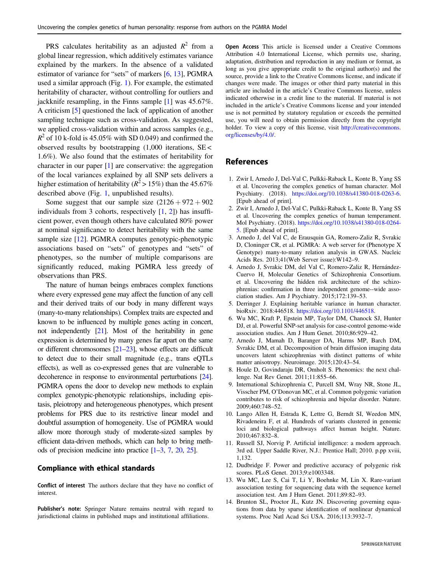<span id="page-2-0"></span>PRS calculates heritability as an adjusted  $R^2$  from a global linear regression, which additively estimates variance explained by the markers. In the absence of a validated estimator of variance for "sets" of markers [6, 13], PGMRA used a similar approach (Fig. [1\)](#page-1-0). For example, the estimated heritability of character, without controlling for outliers and jackknife resampling, in the Finns sample [1] was 45.67%. A criticism [5] questioned the lack of application of another sampling technique such as cross-validation. As suggested, we applied cross-validation within and across samples (e.g.,  $R^2$  of 10 k-fold is 45.05% with SD 0.049) and confirmed the observed results by bootstrapping  $(1,000)$  iterations, SE < 1.6%). We also found that the estimates of heritability for character in our paper [1] are conservative: the aggregation of the local variances explained by all SNP sets delivers a higher estimation of heritability ( $R^2 > 15\%$ ) than the 45.67% described above (Fig. [1](#page-1-0), unpublished results).

Some suggest that our sample size  $(2126 + 972 + 902)$ individuals from 3 cohorts, respectively  $[1, 2]$ ) has insufficient power, even though others have calculated 80% power at nominal significance to detect heritability with the same sample size [12]. PGMRA computes genotypic-phenotypic associations based on "sets" of genotypes and "sets" of phenotypes, so the number of multiple comparisons are significantly reduced, making PGMRA less greedy of observations than PRS.

The nature of human beings embraces complex functions where every expressed gene may affect the function of any cell and their derived traits of our body in many different ways (many-to-many relationships). Complex traits are expected and known to be influenced by multiple genes acting in concert, not independently [\[21\]](#page-3-0). Most of the heritability in gene expression is determined by many genes far apart on the same or different chromosomes [[21](#page-3-0)–[23](#page-3-0)], whose effects are difficult to detect due to their small magnitude (e.g., trans eQTLs effects), as well as co-expressed genes that are vulnerable to decoherence in response to environmental perturbations [\[24\]](#page-3-0). PGMRA opens the door to develop new methods to explain complex genotypic-phenotypic relationships, including epistasis, pleiotropy and heterogeneous phenotypes, which present problems for PRS due to its restrictive linear model and doubtful assumption of homogeneity. Use of PGMRA would allow more thorough study of moderate-sized samples by efficient data-driven methods, which can help to bring methods of precision medicine into practice [1–3, 7, [20,](#page-3-0) [25\]](#page-3-0).

## Compliance with ethical standards

Conflict of interest The authors declare that they have no conflict of interest.

Publisher's note: Springer Nature remains neutral with regard to jurisdictional claims in published maps and institutional affiliations.

Open Access This article is licensed under a Creative Commons Attribution 4.0 International License, which permits use, sharing, adaptation, distribution and reproduction in any medium or format, as long as you give appropriate credit to the original author(s) and the source, provide a link to the Creative Commons license, and indicate if changes were made. The images or other third party material in this article are included in the article's Creative Commons license, unless indicated otherwise in a credit line to the material. If material is not included in the article's Creative Commons license and your intended use is not permitted by statutory regulation or exceeds the permitted use, you will need to obtain permission directly from the copyright holder. To view a copy of this license, visit [http://creativecommons.](http://creativecommons.org/licenses/by/4.0/) [org/licenses/by/4.0/](http://creativecommons.org/licenses/by/4.0/).

## **References**

- 1. Zwir I, Arnedo J, Del-Val C, Pulkki-Raback L, Konte B, Yang SS et al. Uncovering the complex genetics of human character. Mol Psychiatry. (2018). <https://doi.org/10.1038/s41380-018-0263-6>. [Epub ahead of print].
- 2. Zwir I, Arnedo J, Del-Val C, Pulkki-Raback L, Konte B, Yang SS et al. Uncovering the complex genetics of human temperament. Mol Psychiatry. (2018). [https://doi.org/10.1038/s41380-018-0264-](https://doi.org/10.1038/s41380-018-0264-5) [5](https://doi.org/10.1038/s41380-018-0264-5). [Epub ahead of print].
- 3. Arnedo J, del Val C, de Erausquin GA, Romero-Zaliz R, Svrakic D, Cloninger CR, et al. PGMRA: A web server for (Phenotype X Genotype) many-to-many relation analysis in GWAS. Nucleic Acids Res. 2013;41(Web Server issue):W142–9.
- 4. Arnedo J, Svrakic DM, del Val C, Romero-Zaliz R, Hernández-Cuervo H, Molecular Genetics of Schizophrenia Consortium. et al. Uncovering the hidden risk architecture of the schizophrenias: confirmation in three independent genome--wide association studies. Am J Psychiatry. 2015;172:139–53.
- 5. Derringer J. Explaining heritable variance in human character. bioRxiv. 2018:446518. <https://doi.org/10.1101/446518>.
- 6. Wu MC, Kraft P, Epstein MP, Taylor DM, Chanock SJ, Hunter DJ, et al. Powerful SNP-set analysis for case-control genome-wide association studies. Am J Hum Genet. 2010;86:929–42.
- 7. Arnedo J, Mamah D, Baranger DA, Harms MP, Barch DM, Svrakic DM, et al. Decomposition of brain diffusion imaging data uncovers latent schizophrenias with distinct patterns of white matter anisotropy. Neuroimage. 2015;120:43–54.
- 8. Houle D, Govindaraju DR, Omholt S. Phenomics: the next challenge. Nat Rev Genet. 2011;11:855–66.
- 9. International Schizophrenia C, Purcell SM, Wray NR, Stone JL, Visscher PM, O'Donovan MC, et al. Common polygenic variation contributes to risk of schizophrenia and bipolar disorder. Nature. 2009;460:748–52.
- 10. Lango Allen H, Estrada K, Lettre G, Berndt SI, Weedon MN, Rivadeneira F, et al. Hundreds of variants clustered in genomic loci and biological pathways affect human height. Nature. 2010;467:832–8.
- 11. Russell SJ, Norvig P. Artificial intelligence: a modern approach. 3rd ed. Upper Saddle River, N.J.: Prentice Hall; 2010. p.pp xviii, 1,132.
- 12. Dudbridge F. Power and predictive accuracy of polygenic risk scores. PLoS Genet. 2013;9:e1003348.
- 13. Wu MC, Lee S, Cai T, Li Y, Boehnke M, Lin X. Rare-variant association testing for sequencing data with the sequence kernel association test. Am J Hum Genet. 2011;89:82–93.
- 14. Brunton SL, Proctor JL, Kutz JN. Discovering governing equations from data by sparse identification of nonlinear dynamical systems. Proc Natl Acad Sci USA. 2016;113:3932–7.